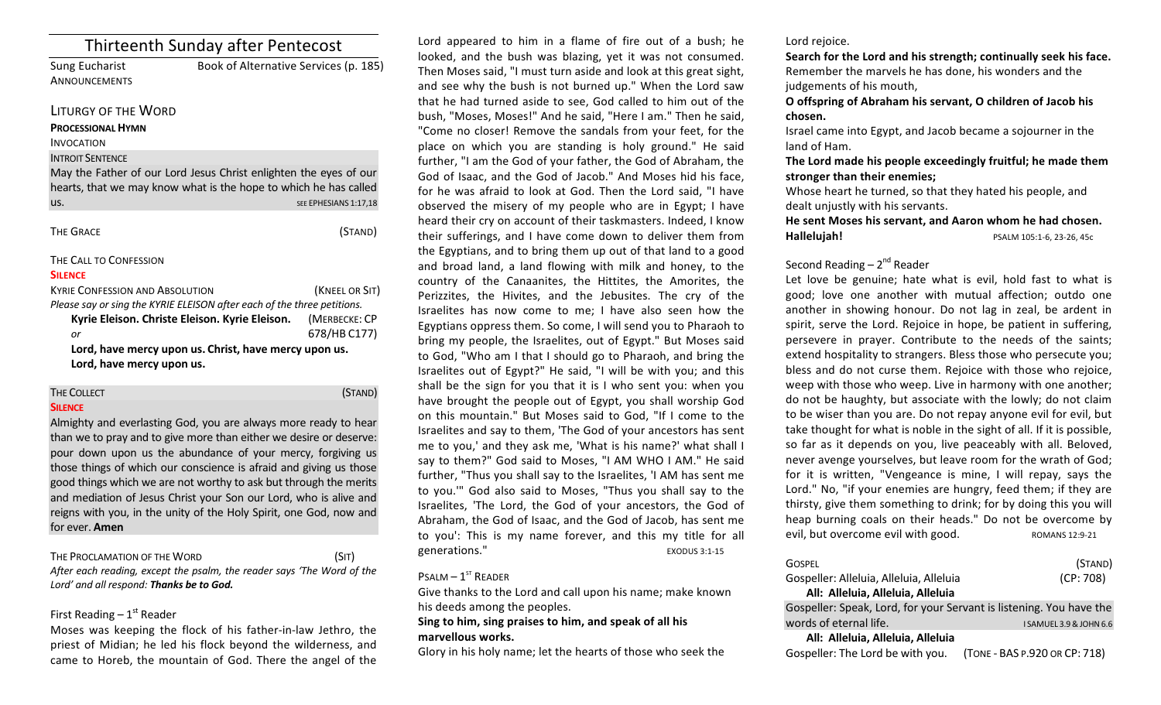|                                                | <b>Thirteenth Sunday after Pentecost</b>                                |
|------------------------------------------------|-------------------------------------------------------------------------|
| Sung Eucharist                                 | Book of Alternative Services (p. 185)                                   |
| <b>ANNOUNCEMENTS</b>                           |                                                                         |
| LITURGY OF THE WORD                            |                                                                         |
| <b>PROCESSIONAL HYMN</b>                       |                                                                         |
| <b>INVOCATION</b>                              |                                                                         |
| <b>INTROIT SENTENCE</b>                        |                                                                         |
|                                                | May the Father of our Lord Jesus Christ enlighten the eyes of our       |
|                                                | hearts, that we may know what is the hope to which he has called        |
| us.                                            | SEE EPHESIANS 1:17,18                                                   |
| <b>THE GRACE</b>                               | (STAND)                                                                 |
| THE CALL TO CONFESSION                         |                                                                         |
| <b>SILENCE</b>                                 |                                                                         |
| <b>KYRIE CONFESSION AND ABSOLUTION</b>         | (KNEEL OR SIT)                                                          |
|                                                | Please say or sing the KYRIE ELEISON after each of the three petitions. |
| Kyrie Eleison. Christe Eleison. Kyrie Eleison. | (MERBECKE: CP                                                           |
| or                                             | 678/HB C177)                                                            |
| Lord, have mercy upon us.                      | Lord, have mercy upon us. Christ, have mercy upon us.                   |
|                                                |                                                                         |

| THE COLLECT    | (STAND) |
|----------------|---------|
| <b>SILENCE</b> |         |

Almighty and everlasting God, you are always more ready to hear than we to pray and to give more than either we desire or deserve: pour down upon us the abundance of your mercy, forgiving us those things of which our conscience is afraid and giving us those good things which we are not worthy to ask but through the merits and mediation of Jesus Christ your Son our Lord, who is alive and reigns with you, in the unity of the Holy Spirit, one God, now and for ever. **Amen** 

#### THE PROCLAMATION OF THE WORD (SIT)

After each reading, except the psalm, the reader says 'The Word of the Lord' and all respond: Thanks be to God.

# First Reading –  $1<sup>st</sup>$  Reader

Moses was keeping the flock of his father-in-law Jethro, the priest of Midian; he led his flock beyond the wilderness, and came to Horeb, the mountain of God. There the angel of the Lord appeared to him in a flame of fire out of a bush; he looked, and the bush was blazing, yet it was not consumed. Then Moses said, "I must turn aside and look at this great sight, and see why the bush is not burned up." When the Lord saw that he had turned aside to see, God called to him out of the bush, "Moses, Moses!" And he said, "Here I am." Then he said, "Come no closer! Remove the sandals from your feet, for the place on which you are standing is holy ground." He said further, "I am the God of your father, the God of Abraham, the God of Isaac, and the God of Jacob." And Moses hid his face, for he was afraid to look at God. Then the Lord said, "I have observed the misery of my people who are in Egypt; I have heard their cry on account of their taskmasters. Indeed, I know their sufferings, and I have come down to deliver them from the Egyptians, and to bring them up out of that land to a good and broad land, a land flowing with milk and honey, to the country of the Canaanites, the Hittites, the Amorites, the Perizzites, the Hivites, and the Jebusites. The cry of the Israelites has now come to me; I have also seen how the Egyptians oppress them. So come, I will send you to Pharaoh to bring my people, the Israelites, out of Egypt." But Moses said to God, "Who am I that I should go to Pharaoh, and bring the Israelites out of Egypt?" He said, "I will be with you; and this shall be the sign for you that it is I who sent you: when you have brought the people out of Egypt, you shall worship God on this mountain." But Moses said to God, "If I come to the Israelites and say to them, 'The God of your ancestors has sent me to you,' and they ask me, 'What is his name?' what shall I say to them?" God said to Moses, "I AM WHO I AM." He said further, "Thus you shall say to the Israelites, 'I AM has sent me to you."" God also said to Moses, "Thus you shall say to the Israelites, 'The Lord, the God of your ancestors, the God of Abraham, the God of Isaac, and the God of Jacob, has sent me to you': This is my name forever, and this my title for all generations." Subset of the except of the except of the except of the except of the except of the except of the except of the except of the except of the except of the except of the except of the except of the except of th

## $P$ SALM –  $1^{ST}$  RFADER

Give thanks to the Lord and call upon his name; make known his deeds among the peoples.

### Sing to him, sing praises to him, and speak of all his marvellous works.

Glory in his holy name; let the hearts of those who seek the

Lord rejoice.

Search for the Lord and his strength; continually seek his face. Remember the marvels he has done, his wonders and the judgements of his mouth.

**O** offspring of Abraham his servant, O children of Jacob his **chosen.** 

Israel came into Egypt, and Jacob became a sojourner in the land of Ham.

The Lord made his people exceedingly fruitful; he made them stronger than their enemies;

Whose heart he turned, so that they hated his people, and dealt unjustly with his servants.

He sent Moses his servant, and Aaron whom he had chosen. **Halleluiah!** PSALM 105:1-6, 23-26, 45c

## Second Reading  $-2<sup>nd</sup>$  Reader

Let love be genuine; hate what is evil, hold fast to what is good; love one another with mutual affection; outdo one another in showing honour. Do not lag in zeal, be ardent in spirit, serve the Lord. Rejoice in hope, be patient in suffering, persevere in prayer. Contribute to the needs of the saints; extend hospitality to strangers. Bless those who persecute you; bless and do not curse them. Rejoice with those who rejoice, weep with those who weep. Live in harmony with one another; do not be haughty, but associate with the lowly; do not claim to be wiser than you are. Do not repay anyone evil for evil, but take thought for what is noble in the sight of all. If it is possible, so far as it depends on you, live peaceably with all. Beloved, never avenge yourselves, but leave room for the wrath of God; for it is written, "Vengeance is mine, I will repay, says the Lord." No, "if your enemies are hungry, feed them; if they are thirsty, give them something to drink; for by doing this you will heap burning coals on their heads." Do not be overcome by evil, but overcome evil with good. ROMANS 12:9-21

| GOSPEL                                                              | (STAND)                            |
|---------------------------------------------------------------------|------------------------------------|
| Gospeller: Alleluia, Alleluia, Alleluia                             | (CP: 708)                          |
| All: Alleluia, Alleluia, Alleluia                                   |                                    |
| Gospeller: Speak, Lord, for your Servant is listening. You have the |                                    |
| words of eternal life.                                              | <b>I SAMUEL 3.9 &amp; JOHN 6.6</b> |
| All: Alleluia, Alleluia, Alleluia                                   |                                    |
| Gospeller: The Lord be with you.                                    | (TONE - BAS P.920 OR CP: 718)      |